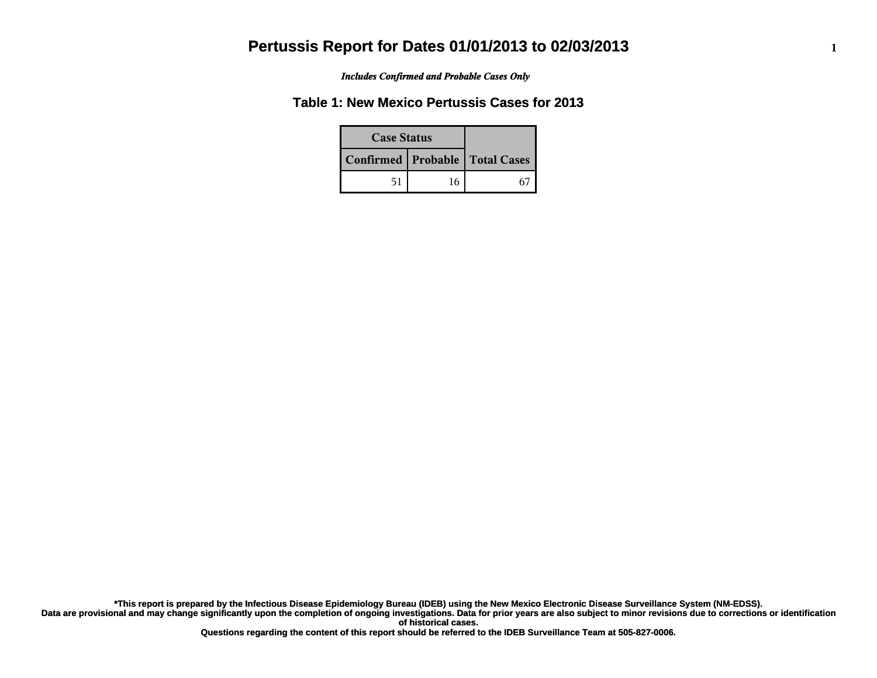*Includes Confirmed and Probable Cases Only*

### **Table 1: New Mexico Pertussis Cases for 2013**

| <b>Case Status</b> |    |                                    |
|--------------------|----|------------------------------------|
|                    |    | Confirmed   Probable   Total Cases |
| 51                 | 16 |                                    |

**Data are provisional and may change significantly upon the completion of ongoing investigations. Data for prior years are also subject to minor revisions due to corrections or identification of historical cases. \*This report is prepared by the Infectious Disease Epidemiology Bureau (IDEB) using the New Mexico Electronic Disease Surveillance System (NM-EDSS).**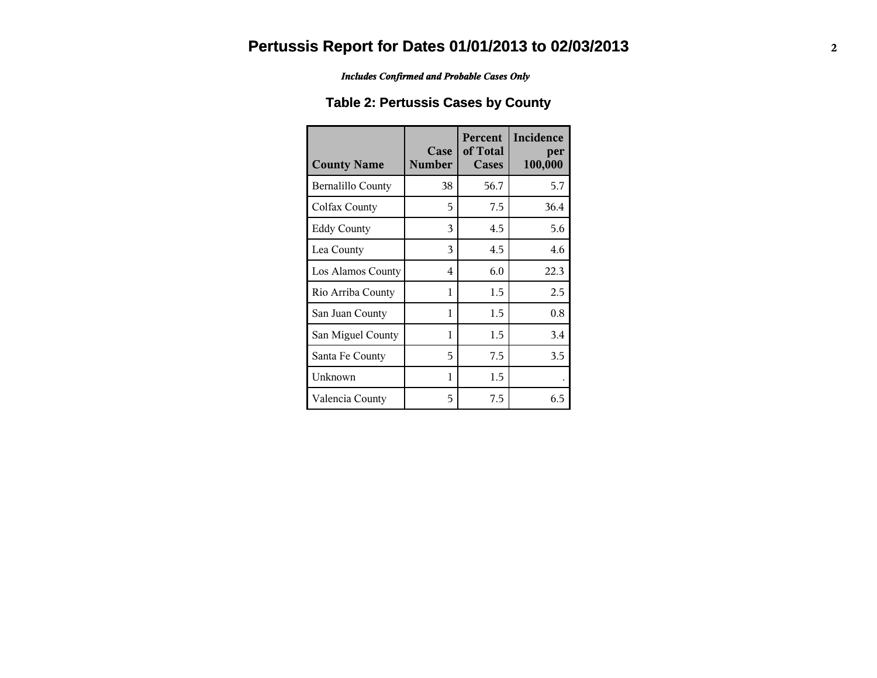*Includes Confirmed and Probable Cases Only*

### **Table 2: Pertussis Cases by County**

| <b>County Name</b>       | Case<br><b>Number</b> | Percent<br>of Total<br><b>Cases</b> | Incidence<br>per<br>100,000 |
|--------------------------|-----------------------|-------------------------------------|-----------------------------|
| <b>Bernalillo County</b> | 38                    | 56.7                                | 5.7                         |
| Colfax County            | 5                     | 7.5                                 | 36.4                        |
| <b>Eddy County</b>       | 3                     | 4.5                                 | 5.6                         |
| Lea County               | 3                     | 4.5                                 | 4.6                         |
| Los Alamos County        | 4                     | 6.0                                 | 22.3                        |
| Rio Arriba County        | 1                     | 1.5                                 | 2.5                         |
| San Juan County          | 1                     | 1.5                                 | 0.8                         |
| San Miguel County        | 1                     | 1.5                                 | 3.4                         |
| Santa Fe County          | 5                     | 7.5                                 | 3.5                         |
| Unknown                  | 1                     | 1.5                                 |                             |
| Valencia County          | 5                     | 7.5                                 | 6.5                         |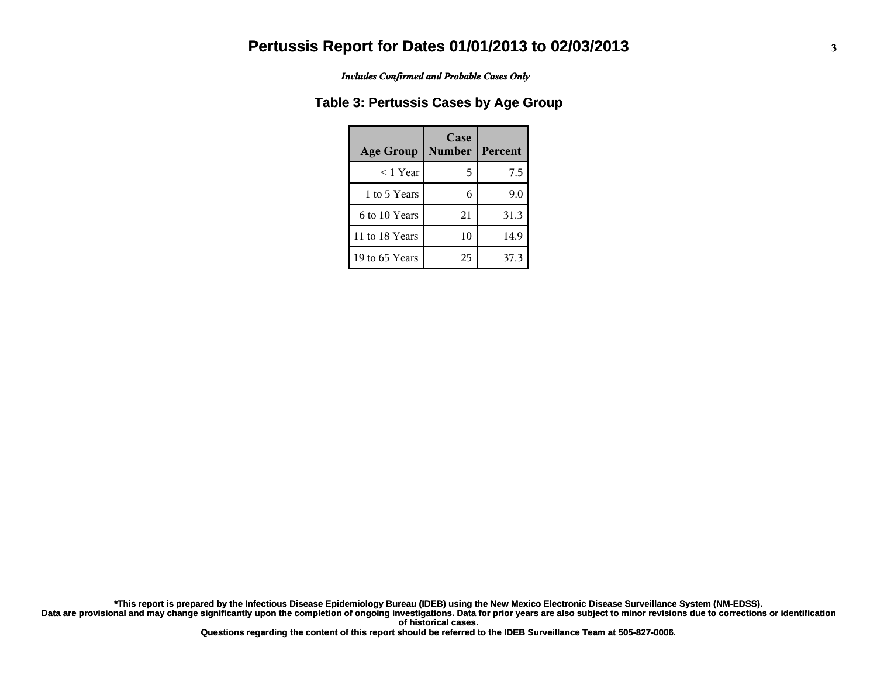*Includes Confirmed and Probable Cases Only*

#### **Table 3: Pertussis Cases by Age Group**

| <b>Age Group</b> | Case<br><b>Number</b> | Percent |
|------------------|-----------------------|---------|
| $<$ 1 Year       | 5                     | 7.5     |
| 1 to 5 Years     |                       | 9.0     |
| 6 to 10 Years    | 21                    | 31.3    |
| 11 to 18 Years   | 10                    | 14.9    |
| 19 to 65 Years   | 25                    | 37.3    |

**Data are provisional and may change significantly upon the completion of ongoing investigations. Data for prior years are also subject to minor revisions due to corrections or identification of historical cases. \*This report is prepared by the Infectious Disease Epidemiology Bureau (IDEB) using the New Mexico Electronic Disease Surveillance System (NM-EDSS).**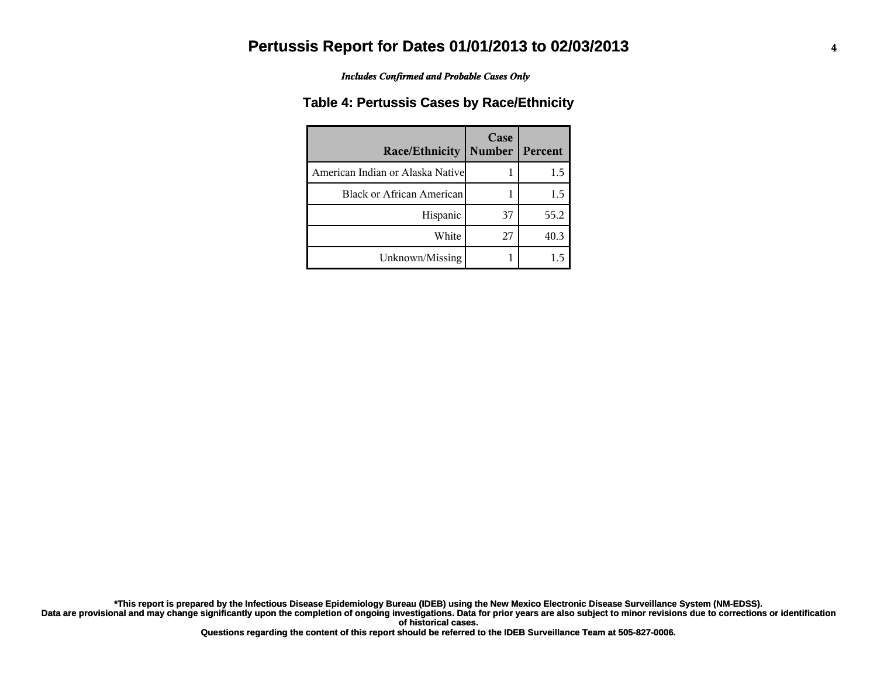*Includes Confirmed and Probable Cases Only*

#### **Table 4: Pertussis Cases by Race/Ethnicity**

| Race/Ethnicity                    | Case<br><b>Number</b> | Percent |
|-----------------------------------|-----------------------|---------|
| American Indian or Alaska Nativel |                       | 1.5     |
| <b>Black or African American</b>  |                       | 1.5     |
| Hispanic                          | 37                    | 55.2    |
| White                             | 27                    | 40.3    |
| Unknown/Missing                   |                       |         |

**Data are provisional and may change significantly upon the completion of ongoing investigations. Data for prior years are also subject to minor revisions due to corrections or identification of historical cases. \*This report is prepared by the Infectious Disease Epidemiology Bureau (IDEB) using the New Mexico Electronic Disease Surveillance System (NM-EDSS).**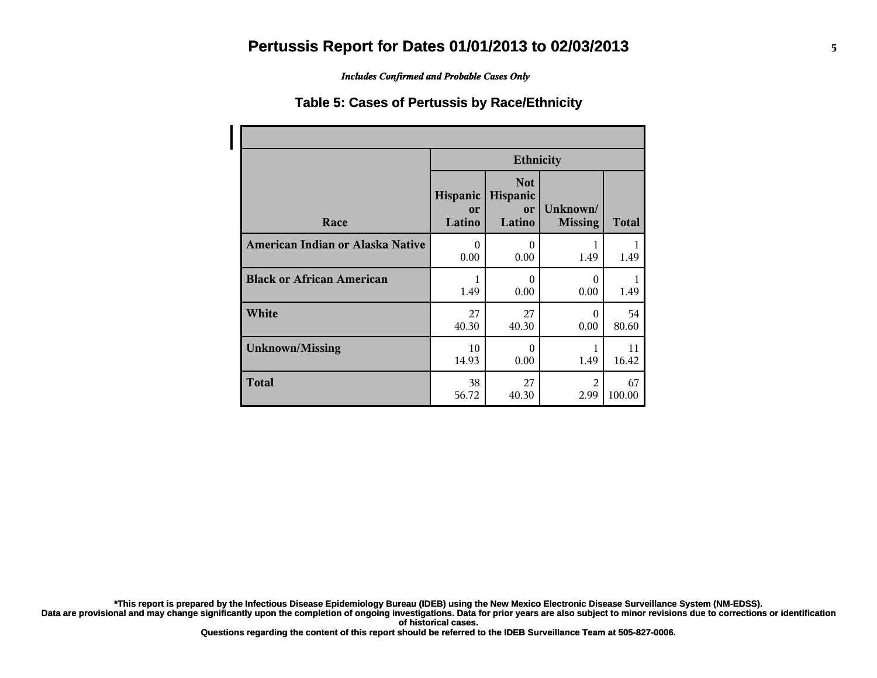*Includes Confirmed and Probable Cases Only*

#### **Table 5: Cases of Pertussis by Race/Ethnicity**

|                                  | <b>Ethnicity</b>         |                                        |                            |              |
|----------------------------------|--------------------------|----------------------------------------|----------------------------|--------------|
| Race                             | Hispanic<br>or<br>Latino | <b>Not</b><br>Hispanic<br>or<br>Latino | Unknown/<br><b>Missing</b> | <b>Total</b> |
| American Indian or Alaska Native | $\Omega$                 | $\theta$                               | 1                          | 1            |
|                                  | 0.00                     | 0.00                                   | 1.49                       | 1.49         |
| <b>Black or African American</b> | 1                        | $\theta$                               | $\Omega$                   | 1            |
|                                  | 1.49                     | 0.00                                   | 0.00                       | 1.49         |
| White                            | 27                       | 27                                     | $\Omega$                   | 54           |
|                                  | 40.30                    | 40.30                                  | 0.00                       | 80.60        |
| <b>Unknown/Missing</b>           | 10                       | $\theta$                               | 1                          | 11           |
|                                  | 14.93                    | 0.00                                   | 1.49                       | 16.42        |
| <b>Total</b>                     | 38                       | 27                                     | 2                          | 67           |
|                                  | 56.72                    | 40.30                                  | 2.99                       | 100.00       |

**\*This report is prepared by the Infectious Disease Epidemiology Bureau (IDEB) using the New Mexico Electronic Disease Surveillance System (NM-EDSS).**

**Data are provisional and may change significantly upon the completion of ongoing investigations. Data for prior years are also subject to minor revisions due to corrections or identification of historical cases.**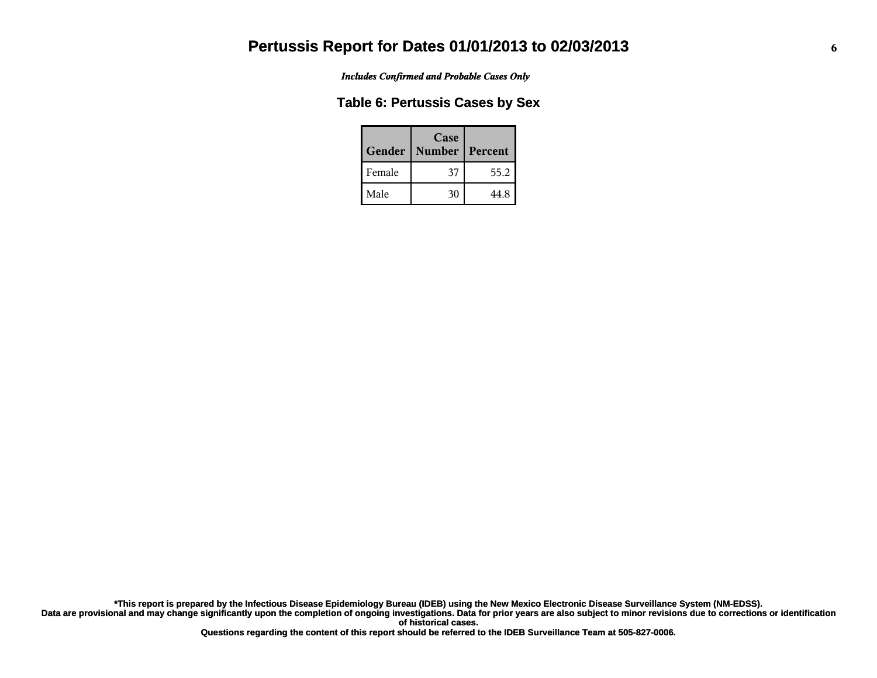*Includes Confirmed and Probable Cases Only*

#### **Table 6: Pertussis Cases by Sex**

| Gender | Case<br><b>Number</b> | Percent |
|--------|-----------------------|---------|
| Female | 37                    | 55.2    |
| Male   | 30                    | 44.8    |

**Data are provisional and may change significantly upon the completion of ongoing investigations. Data for prior years are also subject to minor revisions due to corrections or identification of historical cases. \*This report is prepared by the Infectious Disease Epidemiology Bureau (IDEB) using the New Mexico Electronic Disease Surveillance System (NM-EDSS).**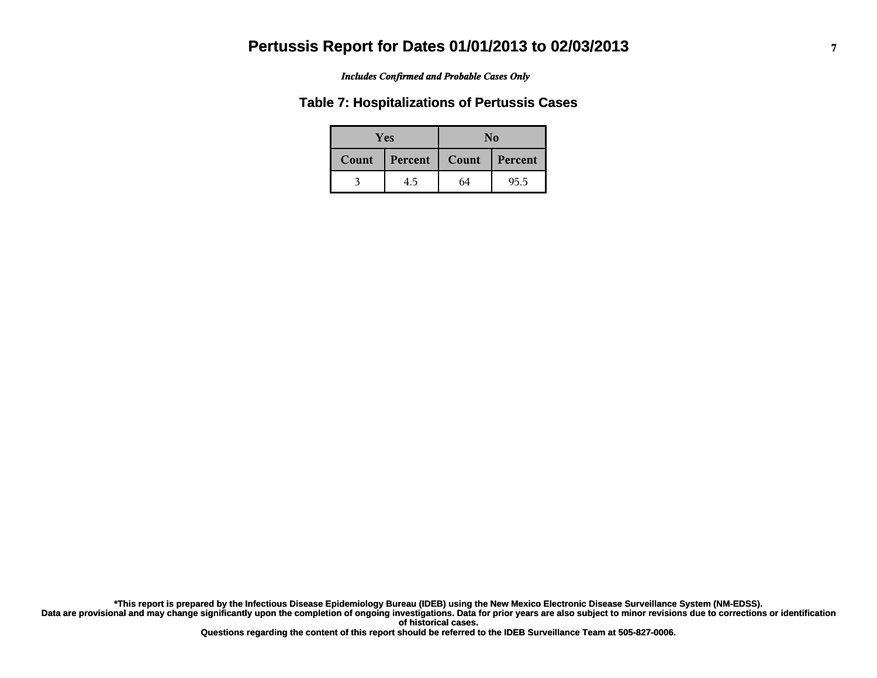#### *Includes Confirmed and Probable Cases Only*

#### **Table 7: Hospitalizations of Pertussis Cases**

| <b>Yes</b> |         | No    |         |  |
|------------|---------|-------|---------|--|
| Count      | Percent | Count | Percent |  |
|            | 4.5     | 64    | 95.5    |  |

**Data are provisional and may change significantly upon the completion of ongoing investigations. Data for prior years are also subject to minor revisions due to corrections or identification of historical cases. \*This report is prepared by the Infectious Disease Epidemiology Bureau (IDEB) using the New Mexico Electronic Disease Surveillance System (NM-EDSS).**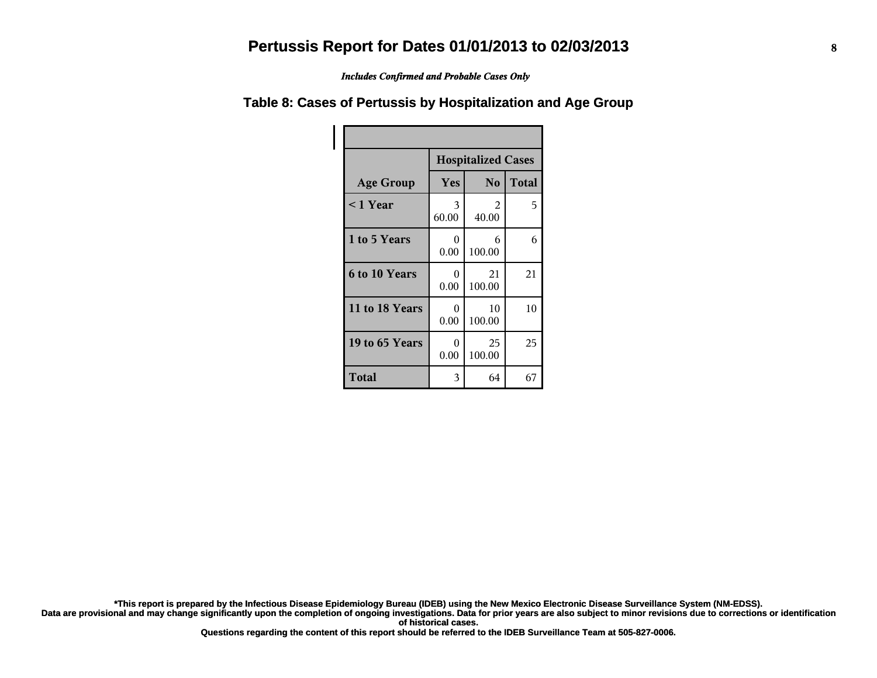*Includes Confirmed and Probable Cases Only*

#### **Table 8: Cases of Pertussis by Hospitalization and Age Group**

|                  | <b>Hospitalized Cases</b> |                |              |  |
|------------------|---------------------------|----------------|--------------|--|
| <b>Age Group</b> | Yes                       | N <sub>o</sub> | <b>Total</b> |  |
| $<$ 1 Year       | 3<br>60.00                | 2<br>40.00     | 5            |  |
| 1 to 5 Years     | 0<br>0.00                 | 6<br>100.00    | 6            |  |
| 6 to 10 Years    | 0<br>0.00                 | 21<br>100.00   | 21           |  |
| 11 to 18 Years   | 0<br>0.00                 | 10<br>100.00   | 10           |  |
| 19 to 65 Years   | 0<br>0.00                 | 25<br>100.00   | 25           |  |
| Total            | 3                         | 64             | 67           |  |

**\*This report is prepared by the Infectious Disease Epidemiology Bureau (IDEB) using the New Mexico Electronic Disease Surveillance System (NM-EDSS).**

**Data are provisional and may change significantly upon the completion of ongoing investigations. Data for prior years are also subject to minor revisions due to corrections or identification of historical cases.**